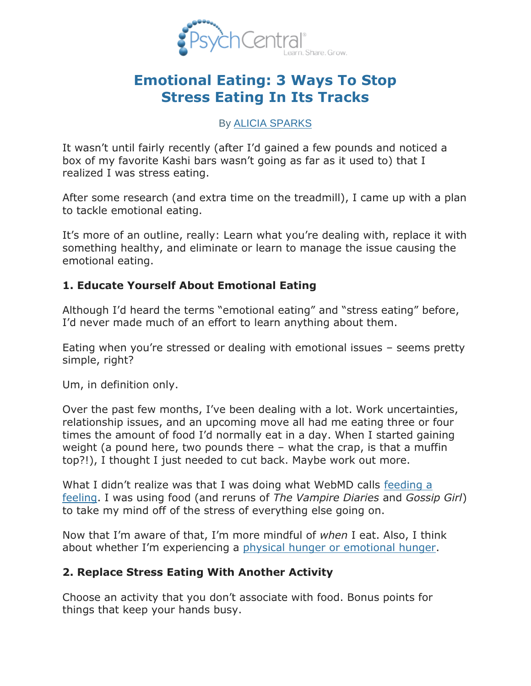

# **[Emotional Eating: 3 Ways To Stop](http://blogs.psychcentral.com/your-mind/2012/04/emotional-eating-3-ways-to-stop-stress-eating-in-its-tracks/)  [Stress Eating In Its Tracks](http://blogs.psychcentral.com/your-mind/2012/04/emotional-eating-3-ways-to-stop-stress-eating-in-its-tracks/)**

#### By [ALICIA SPARKS](http://blogs.psychcentral.com/your-mind/author/alicia/)

It wasn't until fairly recently (after I'd gained a few pounds and noticed a box of my favorite Kashi bars wasn't going as far as it used to) that I realized I was stress eating.

After some research (and extra time on the treadmill), I came up with a plan to tackle emotional eating.

It's more of an outline, really: Learn what you're dealing with, replace it with something healthy, and eliminate or learn to manage the issue causing the emotional eating.

### **1. Educate Yourself About Emotional Eating**

Although I'd heard the terms "emotional eating" and "stress eating" before, I'd never made much of an effort to learn anything about them.

Eating when you're stressed or dealing with emotional issues – seems pretty simple, right?

Um, in definition only.

Over the past few months, I've been dealing with a lot. Work uncertainties, relationship issues, and an upcoming move all had me eating three or four times the amount of food I'd normally eat in a day. When I started gaining weight (a pound here, two pounds there – what the crap, is that a muffin top?!), I thought I just needed to cut back. Maybe work out more.

What I didn't realize was that I was doing what WebMD calls [feeding a](http://www.webmd.com/diet/features/emotional-eating-feeding-your-feelings)  [feeling.](http://www.webmd.com/diet/features/emotional-eating-feeding-your-feelings) I was using food (and reruns of *The Vampire Diaries* and *Gossip Girl*) to take my mind off of the stress of everything else going on.

Now that I'm aware of that, I'm more mindful of *when* I eat. Also, I think about whether I'm experiencing a [physical hunger or emotional hunger.](http://www.webmd.com/diet/features/emotional-eating-feeding-your-feelings)

### **2. Replace Stress Eating With Another Activity**

Choose an activity that you don't associate with food. Bonus points for things that keep your hands busy.